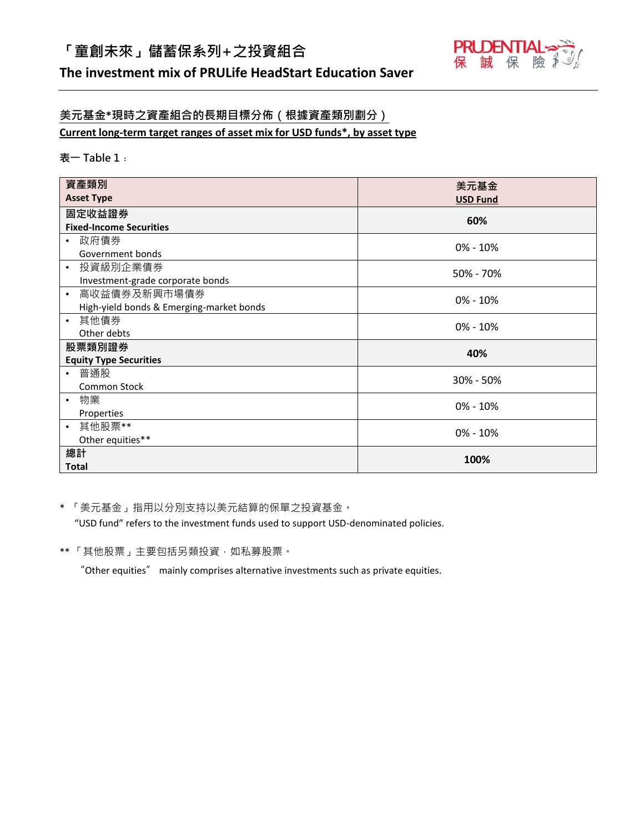# **「童創未來」儲蓄保系列+之投資組合**



## **The investment mix of PRULife HeadStart Education Saver**

## **美元基金\*現時之資產組合的長期目標分佈(根據資產類別劃分)**

**Current long-term target ranges of asset mix for USD funds\*, by asset type**

### **表一 Table 1﹕**

| 資產類別                                     | 美元基金            |
|------------------------------------------|-----------------|
| <b>Asset Type</b>                        |                 |
|                                          | <b>USD Fund</b> |
| 固定收益證券                                   | 60%             |
| <b>Fixed-Income Securities</b>           |                 |
| 政府債券<br>$\bullet$                        | $0\% - 10\%$    |
| Government bonds                         |                 |
| 投資級別企業債券<br>$\bullet$                    | 50% - 70%       |
| Investment-grade corporate bonds         |                 |
| 高收益債券及新興市場債券<br>$\bullet$                | $0\% - 10\%$    |
| High-yield bonds & Emerging-market bonds |                 |
| 其他債券<br>$\bullet$                        | $0\% - 10\%$    |
| Other debts                              |                 |
| 股票類別證券                                   | 40%             |
| <b>Equity Type Securities</b>            |                 |
| 普通股<br>$\bullet$                         | 30% - 50%       |
| Common Stock                             |                 |
| 物業<br>$\bullet$                          | $0\% - 10\%$    |
| Properties                               |                 |
| 其他股票**<br>$\bullet$                      | $0\% - 10\%$    |
| Other equities**                         |                 |
| 總計                                       | 100%            |
| <b>Total</b>                             |                 |

\* 「美元基金」指用以分別支持以美元結算的保單之投資基金。

"USD fund" refers to the investment funds used to support USD-denominated policies.

\*\* 「其他股票」主要包括另類投資,如私募股票。

"Other equities" mainly comprises alternative investments such as private equities.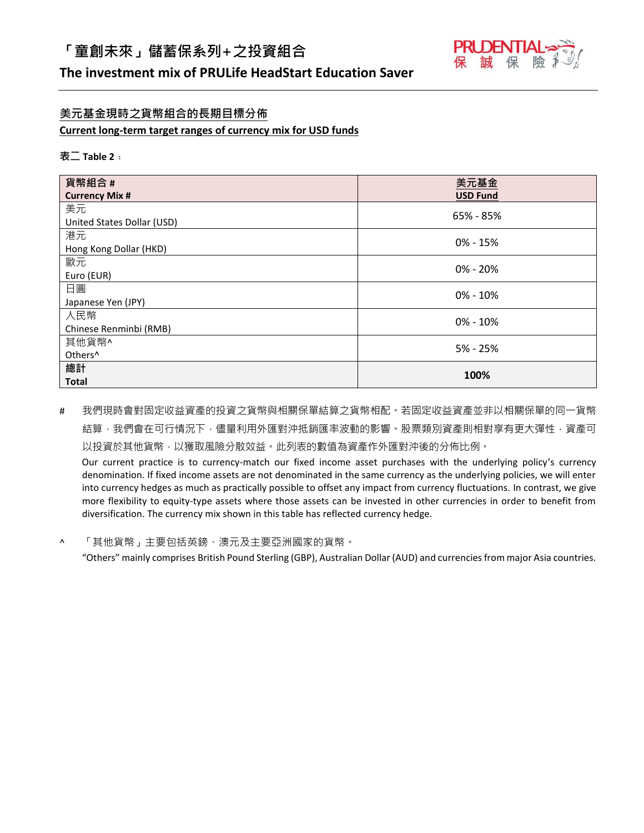

## **The investment mix of PRULife HeadStart Education Saver**

### **美元基金現時之貨幣組合的長期目標分佈**

#### **Current long-term target ranges of currency mix for USD funds**

#### **表二 Table 2﹕**

| 貨幣組合#                      | 美元基金            |
|----------------------------|-----------------|
| <b>Currency Mix #</b>      | <b>USD Fund</b> |
| 美元                         | 65% - 85%       |
| United States Dollar (USD) |                 |
| 港元                         | $0\% - 15\%$    |
| Hong Kong Dollar (HKD)     |                 |
| 歐元                         | $0\% - 20\%$    |
| Euro (EUR)                 |                 |
| 日圓                         | $0\% - 10\%$    |
| Japanese Yen (JPY)         |                 |
| 人民幣                        | $0\% - 10\%$    |
| Chinese Renminbi (RMB)     |                 |
| 其他貨幣^                      | 5% - 25%        |
| Others <sup>^</sup>        |                 |
| 總計                         | 100%            |
| <b>Total</b>               |                 |

# 我們現時會對固定收益資產的投資之貨幣與相關保單結算之貨幣相配。若固定收益資產並非以相關保單的同一貨幣 結算,我們會在可行情況下,儘量利用外匯對沖抵銷匯率波動的影響。股票類別資產則相對享有更大彈性,資產可 以投資於其他貨幣,以獲取風險分散效益。此列表的數值為資產作外匯對沖後的分佈比例。

Our current practice is to currency-match our fixed income asset purchases with the underlying policy's currency denomination. If fixed income assets are not denominated in the same currency as the underlying policies, we will enter into currency hedges as much as practically possible to offset any impact from currency fluctuations. In contrast, we give more flexibility to equity-type assets where those assets can be invested in other currencies in order to benefit from diversification. The currency mix shown in this table has reflected currency hedge.

^ 「其他貨幣」主要包括英鎊、澳元及主要亞洲國家的貨幣。

"Others" mainly comprises British Pound Sterling (GBP), Australian Dollar (AUD) and currencies from major Asia countries.